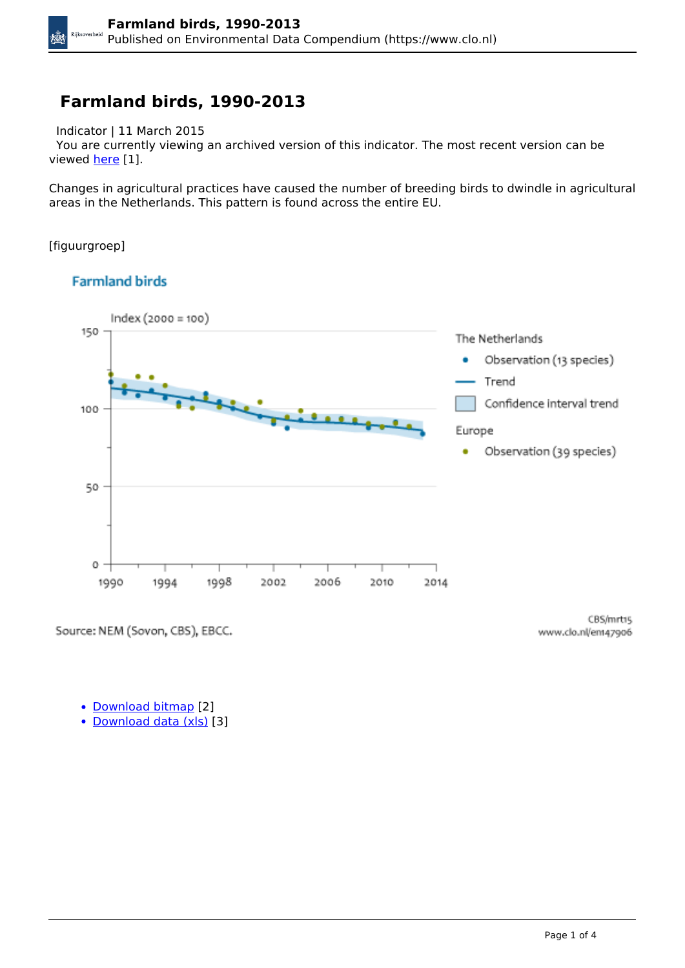#### **Farmland birds, 1990-2013**

Indicator | 11 March 2015

 You are currently viewing an archived version of this indicator. The most recent version can be viewed [here](https://www.clo.nl/en/indicatoren/en1479) [1].

Changes in agricultural practices have caused the number of breeding birds to dwindle in agricultural areas in the Netherlands. This pattern is found across the entire EU.

[figuurgroep]

kÖX

#### **Farmland birds**



Source: NEM (Sovon, CBS), EBCC.

CBS/mrt15 www.clo.nl/ent47906

• [Download bitmap](https://www.clo.nl/sites/default/files/infographics/1479_001g_clo_06_en.png) [2]

• [Download data \(xls\)](https://www.clo.nl/sites/default/files/datasets/c-1479-001g-clo-06-en.xls) [3]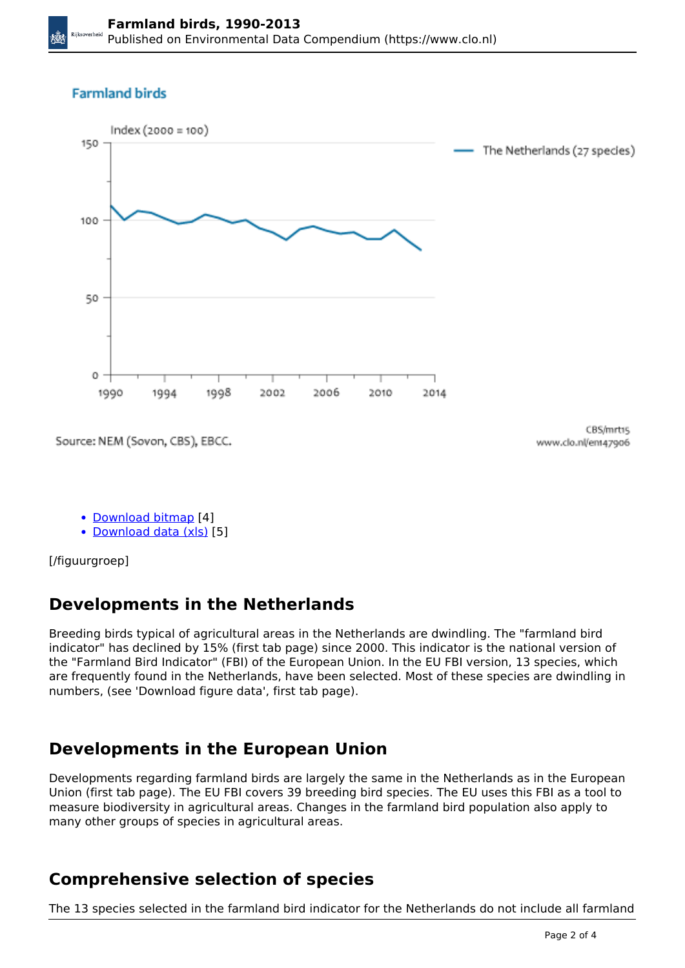#### **Farmland birds**



Source: NEM (Sovon, CBS), EBCC.

CBS/mrt15 www.clo.nl/em47906

- [Download bitmap](https://www.clo.nl/sites/default/files/infographics/1479_002g_clo_06_en.png) [4]
- [Download data \(xls\)](https://www.clo.nl/sites/default/files/datasets/c-1479-002g-clo-06-en.xls) [5]

[/figuurgroep]

# **Developments in the Netherlands**

Breeding birds typical of agricultural areas in the Netherlands are dwindling. The "farmland bird indicator" has declined by 15% (first tab page) since 2000. This indicator is the national version of the "Farmland Bird Indicator" (FBI) of the European Union. In the EU FBI version, 13 species, which are frequently found in the Netherlands, have been selected. Most of these species are dwindling in numbers, (see 'Download figure data', first tab page).

# **Developments in the European Union**

Developments regarding farmland birds are largely the same in the Netherlands as in the European Union (first tab page). The EU FBI covers 39 breeding bird species. The EU uses this FBI as a tool to measure biodiversity in agricultural areas. Changes in the farmland bird population also apply to many other groups of species in agricultural areas.

## **Comprehensive selection of species**

The 13 species selected in the farmland bird indicator for the Netherlands do not include all farmland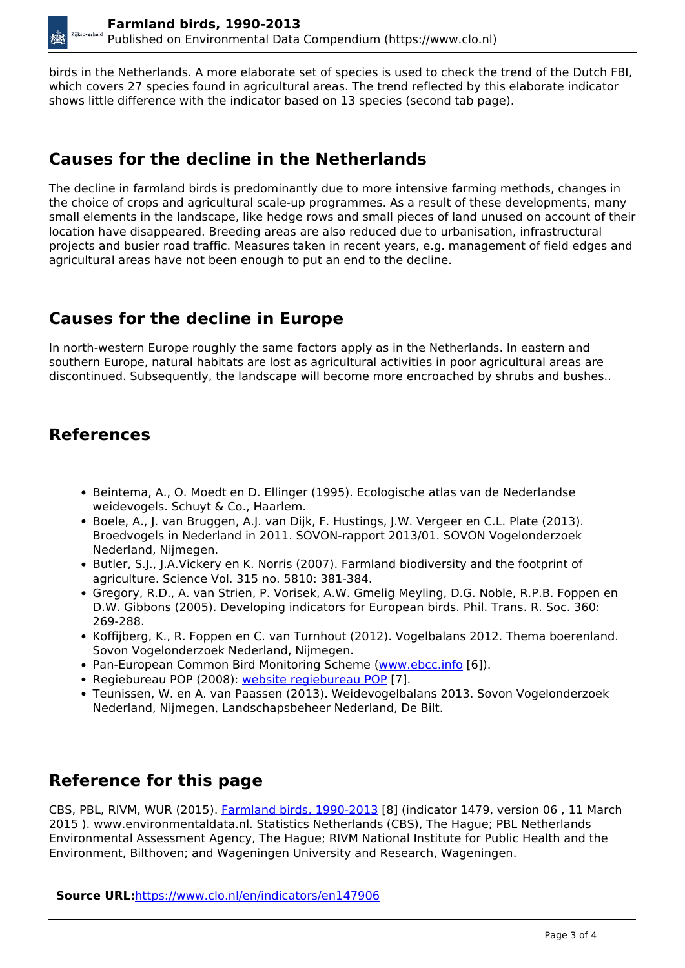birds in the Netherlands. A more elaborate set of species is used to check the trend of the Dutch FBI, which covers 27 species found in agricultural areas. The trend reflected by this elaborate indicator shows little difference with the indicator based on 13 species (second tab page).

#### **Causes for the decline in the Netherlands**

The decline in farmland birds is predominantly due to more intensive farming methods, changes in the choice of crops and agricultural scale-up programmes. As a result of these developments, many small elements in the landscape, like hedge rows and small pieces of land unused on account of their location have disappeared. Breeding areas are also reduced due to urbanisation, infrastructural projects and busier road traffic. Measures taken in recent years, e.g. management of field edges and agricultural areas have not been enough to put an end to the decline.

## **Causes for the decline in Europe**

In north-western Europe roughly the same factors apply as in the Netherlands. In eastern and southern Europe, natural habitats are lost as agricultural activities in poor agricultural areas are discontinued. Subsequently, the landscape will become more encroached by shrubs and bushes..

## **References**

- Beintema, A., O. Moedt en D. Ellinger (1995). Ecologische atlas van de Nederlandse weidevogels. Schuyt & Co., Haarlem.
- Boele, A., J. van Bruggen, A.J. van Dijk, F. Hustings, J.W. Vergeer en C.L. Plate (2013). Broedvogels in Nederland in 2011. SOVON-rapport 2013/01. SOVON Vogelonderzoek Nederland, Nijmegen.
- Butler, S.J., J.A.Vickery en K. Norris (2007). Farmland biodiversity and the footprint of agriculture. Science Vol. 315 no. 5810: 381-384.
- Gregory, R.D., A. van Strien, P. Vorisek, A.W. Gmelig Meyling, D.G. Noble, R.P.B. Foppen en D.W. Gibbons (2005). Developing indicators for European birds. Phil. Trans. R. Soc. 360: 269-288.
- Koffijberg, K., R. Foppen en C. van Turnhout (2012). Vogelbalans 2012. Thema boerenland. Sovon Vogelonderzoek Nederland, Nijmegen.
- Pan-European Common Bird Monitoring Scheme [\(www.ebcc.info](http://www.ebcc.info/) [6]).
- Regiebureau POP (2008): [website regiebureau POP](http://regiebureau-pop.eu/nl/info/1/) [7].
- Teunissen, W. en A. van Paassen (2013). Weidevogelbalans 2013. Sovon Vogelonderzoek Nederland, Nijmegen, Landschapsbeheer Nederland, De Bilt.

## **Reference for this page**

CBS, PBL, RIVM, WUR (2015). [Farmland birds, 1990-2013](https://www.clo.nl/indicatoren/en147906) [8] (indicator 1479, version 06 , 11 March 2015 ). www.environmentaldata.nl. Statistics Netherlands (CBS), The Hague; PBL Netherlands Environmental Assessment Agency, The Hague; RIVM National Institute for Public Health and the Environment, Bilthoven; and Wageningen University and Research, Wageningen.

**Source URL:**<https://www.clo.nl/en/indicators/en147906>